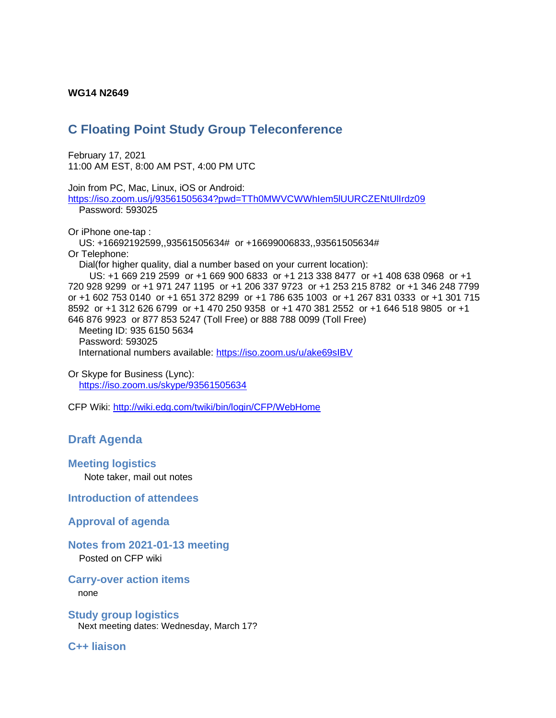#### **WG14 N2649**

# **C Floating Point Study Group Teleconference**

February 17, 2021 11:00 AM EST, 8:00 AM PST, 4:00 PM UTC

Join from PC, Mac, Linux, iOS or Android: <https://iso.zoom.us/j/93561505634?pwd=TTh0MWVCWWhIem5lUURCZENtUlIrdz09> Password: 593025

Or iPhone one-tap :

 US: +16692192599,,93561505634# or +16699006833,,93561505634# Or Telephone:

Dial(for higher quality, dial a number based on your current location):

 US: +1 669 219 2599 or +1 669 900 6833 or +1 213 338 8477 or +1 408 638 0968 or +1 720 928 9299 or +1 971 247 1195 or +1 206 337 9723 or +1 253 215 8782 or +1 346 248 7799 or +1 602 753 0140 or +1 651 372 8299 or +1 786 635 1003 or +1 267 831 0333 or +1 301 715 8592 or +1 312 626 6799 or +1 470 250 9358 or +1 470 381 2552 or +1 646 518 9805 or +1 646 876 9923 or 877 853 5247 (Toll Free) or 888 788 0099 (Toll Free)

 Meeting ID: 935 6150 5634 Password: 593025 International numbers available:<https://iso.zoom.us/u/ake69sIBV>

Or Skype for Business (Lync): <https://iso.zoom.us/skype/93561505634>

CFP Wiki:<http://wiki.edg.com/twiki/bin/login/CFP/WebHome>

# **Draft Agenda**

#### **Meeting logistics**

Note taker, mail out notes

**Introduction of attendees**

#### **Approval of agenda**

## **Notes from 2021-01-13 meeting**

Posted on CFP wiki

#### **Carry-over action items**

none

**Study group logistics** Next meeting dates: Wednesday, March 17?

**C++ liaison**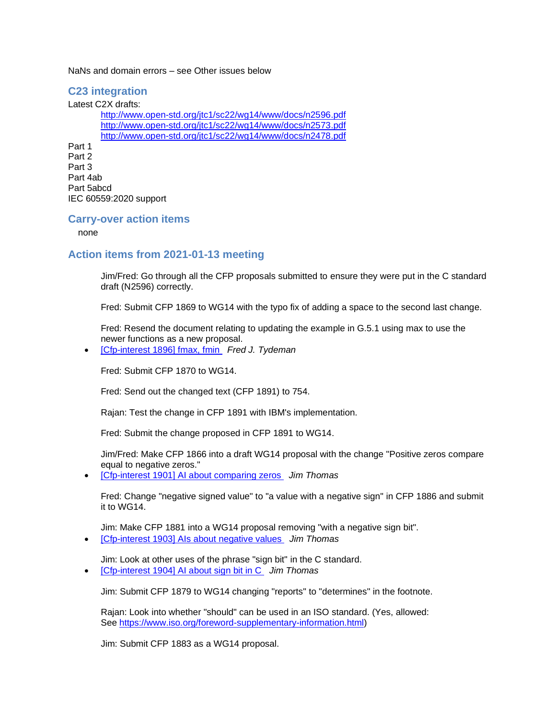NaNs and domain errors – see Other issues below

## **C23 integration**

Latest C2X drafts: <http://www.open-std.org/jtc1/sc22/wg14/www/docs/n2596.pdf> <http://www.open-std.org/jtc1/sc22/wg14/www/docs/n2573.pdf> <http://www.open-std.org/jtc1/sc22/wg14/www/docs/n2478.pdf> Part 1 Part 2 Part 3 Part 4ab Part 5abcd IEC 60559:2020 support

#### **Carry-over action items**

none

### **Action items from 2021-01-13 meeting**

Jim/Fred: Go through all the CFP proposals submitted to ensure they were put in the C standard draft (N2596) correctly.

Fred: Submit CFP 1869 to WG14 with the typo fix of adding a space to the second last change.

Fred: Resend the document relating to updating the example in G.5.1 using max to use the newer functions as a new proposal.

• [\[Cfp-interest 1896\] fmax, fmin](https://mailman.oakapple.net/pipermail/cfp-interest/2021-January/001910.html) *Fred J. Tydeman*

Fred: Submit CFP 1870 to WG14.

Fred: Send out the changed text (CFP 1891) to 754.

Rajan: Test the change in CFP 1891 with IBM's implementation.

Fred: Submit the change proposed in CFP 1891 to WG14.

Jim/Fred: Make CFP 1866 into a draft WG14 proposal with the change "Positive zeros compare equal to negative zeros."

• [\[Cfp-interest 1901\] AI about comparing zeros](https://mailman.oakapple.net/pipermail/cfp-interest/2021-January/001915.html) *Jim Thomas*

Fred: Change "negative signed value" to "a value with a negative sign" in CFP 1886 and submit it to WG14.

Jim: Make CFP 1881 into a WG14 proposal removing "with a negative sign bit".

• [\[Cfp-interest 1903\] AIs about negative values](https://mailman.oakapple.net/pipermail/cfp-interest/2021-January/001917.html) *Jim Thomas*

Jim: Look at other uses of the phrase "sign bit" in the C standard.

• [\[Cfp-interest 1904\] AI about sign bit in C](https://mailman.oakapple.net/pipermail/cfp-interest/2021-January/001918.html) *Jim Thomas*

Jim: Submit CFP 1879 to WG14 changing "reports" to "determines" in the footnote.

Rajan: Look into whether "should" can be used in an ISO standard. (Yes, allowed: See [https://www.iso.org/foreword-supplementary-information.html\)](https://www.iso.org/foreword-supplementary-information.html)

Jim: Submit CFP 1883 as a WG14 proposal.